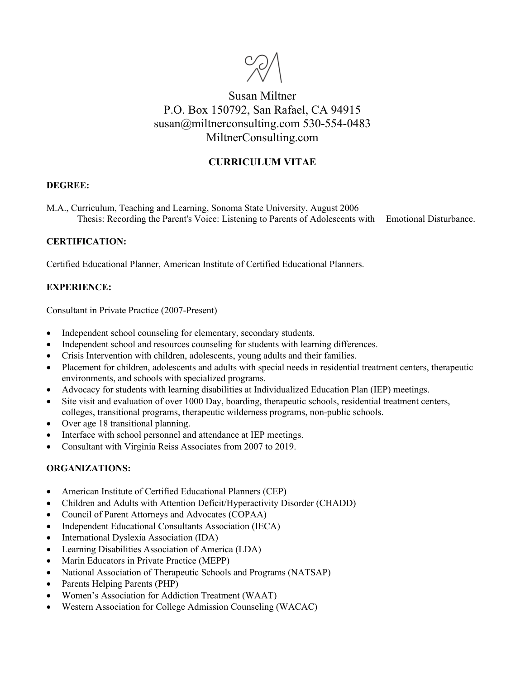

# Susan Miltner P.O. Box 150792, San Rafael, CA 94915 susan@miltnerconsulting.com 530-554-0483 MiltnerConsulting.com

# **CURRICULUM VITAE**

#### **DEGREE:**

M.A., Curriculum, Teaching and Learning, Sonoma State University, August 2006 Thesis: Recording the Parent's Voice: Listening to Parents of Adolescents with Emotional Disturbance.

#### **CERTIFICATION:**

Certified Educational Planner, American Institute of Certified Educational Planners.

## **EXPERIENCE:**

Consultant in Private Practice (2007-Present)

- Independent school counseling for elementary, secondary students.
- Independent school and resources counseling for students with learning differences.
- Crisis Intervention with children, adolescents, young adults and their families.
- Placement for children, adolescents and adults with special needs in residential treatment centers, therapeutic environments, and schools with specialized programs.
- Advocacy for students with learning disabilities at Individualized Education Plan (IEP) meetings.
- Site visit and evaluation of over 1000 Day, boarding, therapeutic schools, residential treatment centers, colleges, transitional programs, therapeutic wilderness programs, non-public schools.
- Over age 18 transitional planning.
- Interface with school personnel and attendance at IEP meetings.
- Consultant with Virginia Reiss Associates from 2007 to 2019.

#### **ORGANIZATIONS:**

- American Institute of Certified Educational Planners (CEP)
- Children and Adults with Attention Deficit/Hyperactivity Disorder (CHADD)
- Council of Parent Attorneys and Advocates (COPAA)
- Independent Educational Consultants Association (IECA)
- International Dyslexia Association (IDA)
- Learning Disabilities Association of America (LDA)
- Marin Educators in Private Practice (MEPP)
- National Association of Therapeutic Schools and Programs (NATSAP)
- Parents Helping Parents (PHP)
- Women's Association for Addiction Treatment (WAAT)
- Western Association for College Admission Counseling (WACAC)